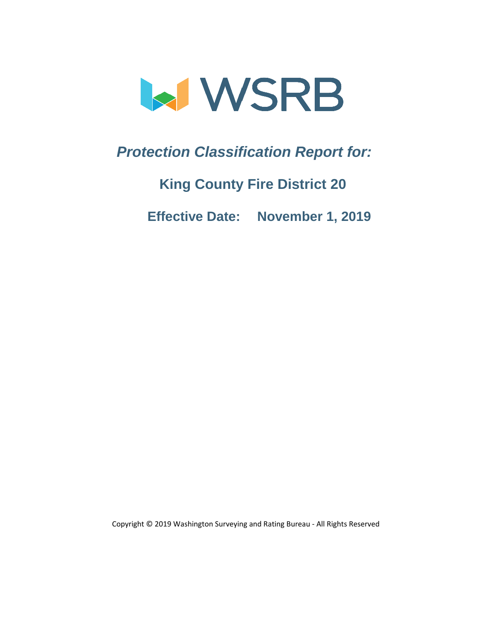

*Protection Classification Report for:* 

**King County Fire District 20**

 **Effective Date: November 1, 2019**

Copyright © 2019 Washington Surveying and Rating Bureau - All Rights Reserved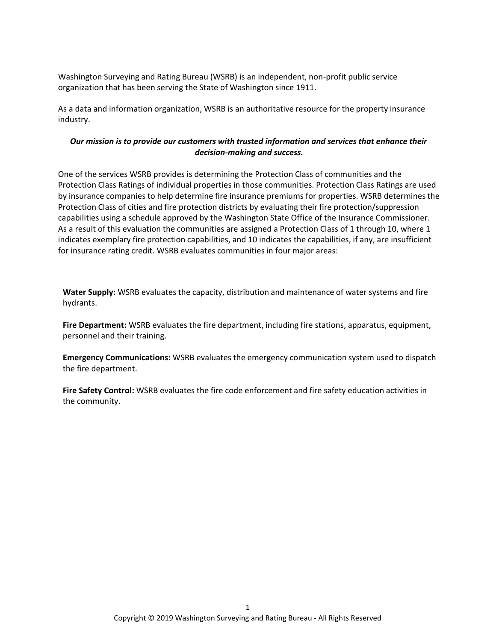Washington Surveying and Rating Bureau (WSRB) is an independent, non-profit public service organization that has been serving the State of Washington since 1911.

As a data and information organization, WSRB is an authoritative resource for the property insurance industry.

#### *Our mission is to provide our customers with trusted information and services that enhance their decision-making and success.*

One of the services WSRB provides is determining the Protection Class of communities and the Protection Class Ratings of individual properties in those communities. Protection Class Ratings are used by insurance companies to help determine fire insurance premiums for properties. WSRB determines the Protection Class of cities and fire protection districts by evaluating their fire protection/suppression capabilities using a schedule approved by the Washington State Office of the Insurance Commissioner. As a result of this evaluation the communities are assigned a Protection Class of 1 through 10, where 1 indicates exemplary fire protection capabilities, and 10 indicates the capabilities, if any, are insufficient for insurance rating credit. WSRB evaluates communities in four major areas:

**Water Supply:** WSRB evaluates the capacity, distribution and maintenance of water systems and fire hydrants.

**Fire Department:** WSRB evaluates the fire department, including fire stations, apparatus, equipment, personnel and their training.

**Emergency Communications:** WSRB evaluates the emergency communication system used to dispatch the fire department.

**Fire Safety Control:** WSRB evaluates the fire code enforcement and fire safety education activities in the community.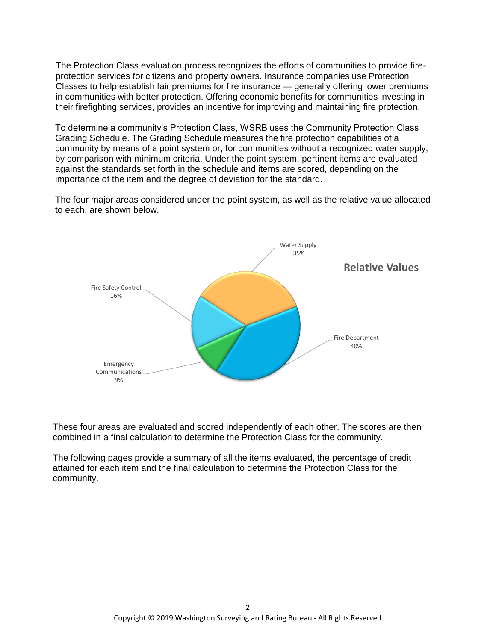The Protection Class evaluation process recognizes the efforts of communities to provide fireprotection services for citizens and property owners. Insurance companies use Protection Classes to help establish fair premiums for fire insurance — generally offering lower premiums in communities with better protection. Offering economic benefits for communities investing in their firefighting services, provides an incentive for improving and maintaining fire protection.

To determine a community's Protection Class, WSRB uses the Community Protection Class Grading Schedule. The Grading Schedule measures the fire protection capabilities of a community by means of a point system or, for communities without a recognized water supply, by comparison with minimum criteria. Under the point system, pertinent items are evaluated against the standards set forth in the schedule and items are scored, depending on the importance of the item and the degree of deviation for the standard.

The four major areas considered under the point system, as well as the relative value allocated to each, are shown below.



These four areas are evaluated and scored independently of each other. The scores are then combined in a final calculation to determine the Protection Class for the community.

The following pages provide a summary of all the items evaluated, the percentage of credit attained for each item and the final calculation to determine the Protection Class for the community.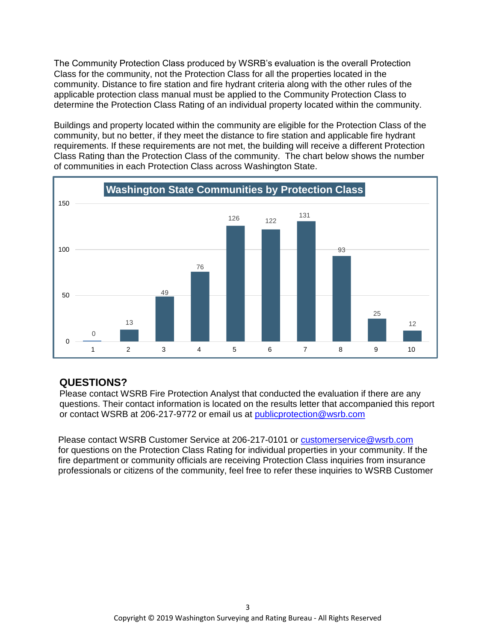The Community Protection Class produced by WSRB's evaluation is the overall Protection Class for the community, not the Protection Class for all the properties located in the community. Distance to fire station and fire hydrant criteria along with the other rules of the applicable protection class manual must be applied to the Community Protection Class to determine the Protection Class Rating of an individual property located within the community.

Buildings and property located within the community are eligible for the Protection Class of the community, but no better, if they meet the distance to fire station and applicable fire hydrant requirements. If these requirements are not met, the building will receive a different Protection Class Rating than the Protection Class of the community. The chart below shows the number of communities in each Protection Class across Washington State.



## **QUESTIONS?**

Please contact WSRB Fire Protection Analyst that conducted the evaluation if there are any [questions. Their contact information is located on the results letter that accompanied this report](mailto:PublicProtection@wsrb.com)  or contact WSRB at 206-217-9772 or email us at publicprotection@wsrb.com

Please contact WSRB Customer Service at 206-217-0101 or customerservice@wsrb.com for questions on the Protection Class Rating for individual properties in your community. If the fire department or community officials are receiving Protection Class inquiries from insurance [professionals or citizens of the community, feel free to refer these inquiries to WSRB Customer](mailto:customerservice@wsrb.com)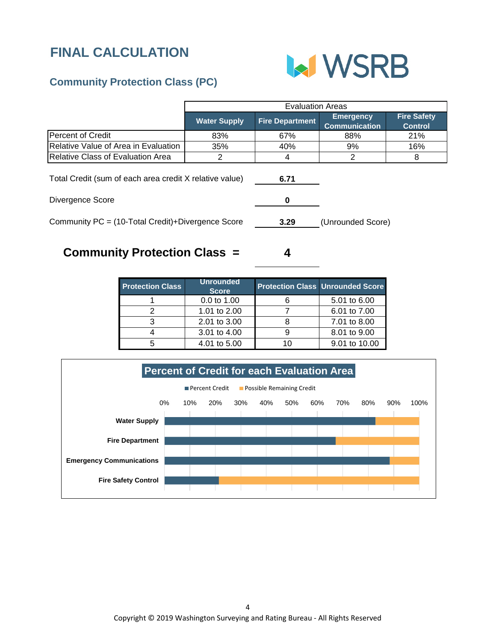# **FINAL CALCULATION**



# **Community Protection Class (PC)**

|                                                         | <b>Evaluation Areas</b> |                        |                                          |                                      |  |
|---------------------------------------------------------|-------------------------|------------------------|------------------------------------------|--------------------------------------|--|
|                                                         | <b>Water Supply</b>     | <b>Fire Department</b> | <b>Emergency</b><br><b>Communication</b> | <b>Fire Safety</b><br><b>Control</b> |  |
| Percent of Credit                                       | 83%                     | 67%                    | 88%                                      | <b>21%</b>                           |  |
| Relative Value of Area in Evaluation                    | 35%                     | 40%                    | 9%                                       | 16%                                  |  |
| <b>Relative Class of Evaluation Area</b>                |                         |                        |                                          |                                      |  |
| Total Credit (sum of each area credit X relative value) |                         | 6.71                   |                                          |                                      |  |
| Divergence Score                                        |                         |                        |                                          |                                      |  |

Community PC = (10-Total Credit)+Divergence Score

**3.29** (Unrounded Score)

# **Community Protection Class =**

| <b>Protection Class</b> | <b>Unrounded</b><br><b>Score</b> | <b>Protection Class Unrounded Score</b> |
|-------------------------|----------------------------------|-----------------------------------------|
|                         | 0.0 to 1.00                      | 5.01 to 6.00                            |
|                         | 1.01 to 2.00                     | 6.01 to 7.00                            |
|                         | 2.01 to 3.00                     | 7.01 to 8.00                            |
|                         | 3.01 to 4.00                     | 8.01 to 9.00                            |
|                         | 4.01 to 5.00                     | 9.01 to 10.00                           |

**4**

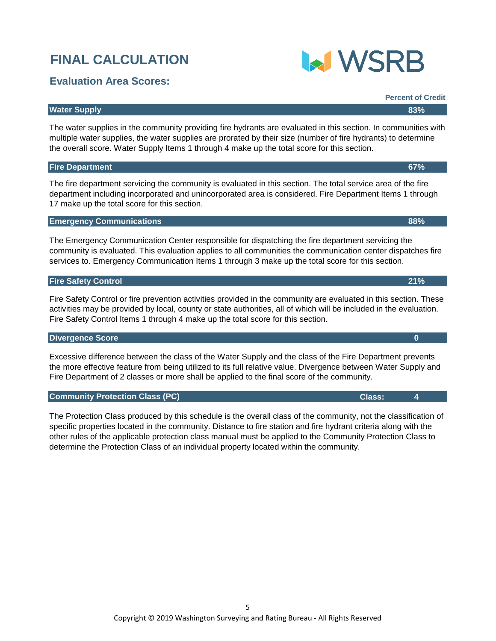# **Divergence Score 0**

Excessive difference between the class of the Water Supply and the class of the Fire Department prevents the more effective feature from being utilized to its full relative value. Divergence between Water Supply and Fire Department of 2 classes or more shall be applied to the final score of the community.

## **Community Protection Class (PC) Community Protection Class (PC) Class: 4**

The Protection Class produced by this schedule is the overall class of the community, not the classification of specific properties located in the community. Distance to fire station and fire hydrant criteria along with the other rules of the applicable protection class manual must be applied to the Community Protection Class to determine the Protection Class of an individual property located within the community.

# **FINAL CALCULATION**

# **Evaluation Area Scores:**

#### **Water Supply 83%**

The water supplies in the community providing fire hydrants are evaluated in this section. In communities with multiple water supplies, the water supplies are prorated by their size (number of fire hydrants) to determine the overall score. Water Supply Items 1 through 4 make up the total score for this section.

#### **Fire Department 67%**

The fire department servicing the community is evaluated in this section. The total service area of the fire department including incorporated and unincorporated area is considered. Fire Department Items 1 through 17 make up the total score for this section.

#### **Emergency Communications 88%**

The Emergency Communication Center responsible for dispatching the fire department servicing the community is evaluated. This evaluation applies to all communities the communication center dispatches fire services to. Emergency Communication Items 1 through 3 make up the total score for this section.

#### **Fire Safety Control 21%**

Fire Safety Control or fire prevention activities provided in the community are evaluated in this section. These activities may be provided by local, county or state authorities, all of which will be included in the evaluation. Fire Safety Control Items 1 through 4 make up the total score for this section.

**Percent of Credit**

**MWSRB**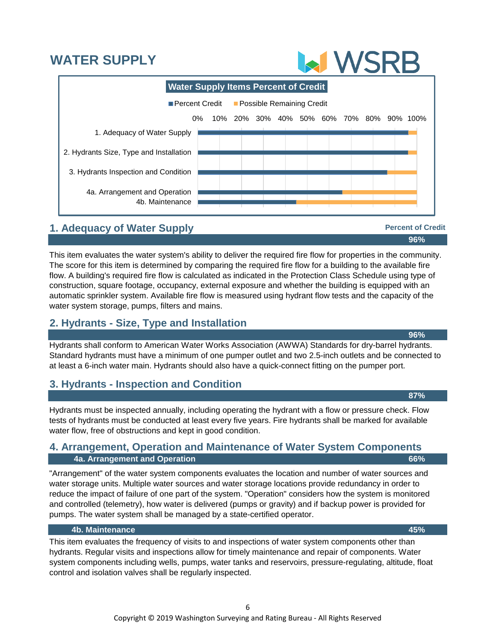# **WATER SUPPLY**



# **1. Adequacy of Water Supply**

This item evaluates the water system's ability to deliver the required fire flow for properties in the community. The score for this item is determined by comparing the required fire flow for a building to the available fire flow. A building's required fire flow is calculated as indicated in the Protection Class Schedule using type of construction, square footage, occupancy, external exposure and whether the building is equipped with an automatic sprinkler system. Available fire flow is measured using hydrant flow tests and the capacity of the water system storage, pumps, filters and mains.

# **2. Hydrants - Size, Type and Installation**

Hydrants shall conform to American Water Works Association (AWWA) Standards for dry-barrel hydrants. Standard hydrants must have a minimum of one pumper outlet and two 2.5-inch outlets and be connected to at least a 6-inch water main. Hydrants should also have a quick-connect fitting on the pumper port.

# **3. Hydrants - Inspection and Condition**

Hydrants must be inspected annually, including operating the hydrant with a flow or pressure check. Flow tests of hydrants must be conducted at least every five years. Fire hydrants shall be marked for available water flow, free of obstructions and kept in good condition.

## **4a. Arrangement and Operation 66% 4. Arrangement, Operation and Maintenance of Water System Components**

"Arrangement" of the water system components evaluates the location and number of water sources and water storage units. Multiple water sources and water storage locations provide redundancy in order to reduce the impact of failure of one part of the system. "Operation" considers how the system is monitored and controlled (telemetry), how water is delivered (pumps or gravity) and if backup power is provided for pumps. The water system shall be managed by a state-certified operator.

#### **4b. Maintenance 45%**

This item evaluates the frequency of visits to and inspections of water system components other than hydrants. Regular visits and inspections allow for timely maintenance and repair of components. Water system components including wells, pumps, water tanks and reservoirs, pressure-regulating, altitude, float control and isolation valves shall be regularly inspected.

**96%**

**96%**

**Percent of Credit**

**87%**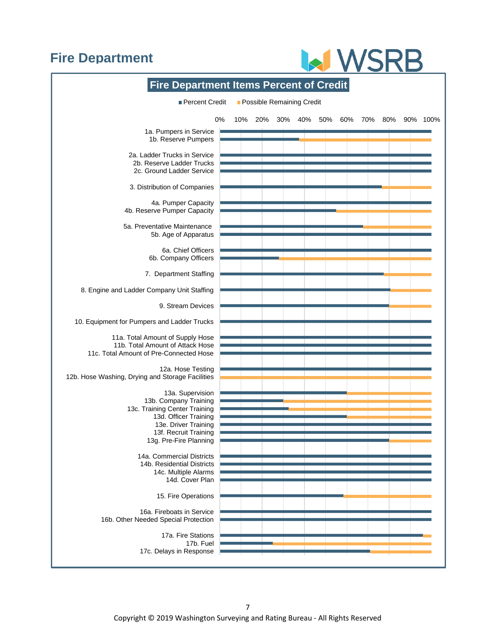# **Fire Department**

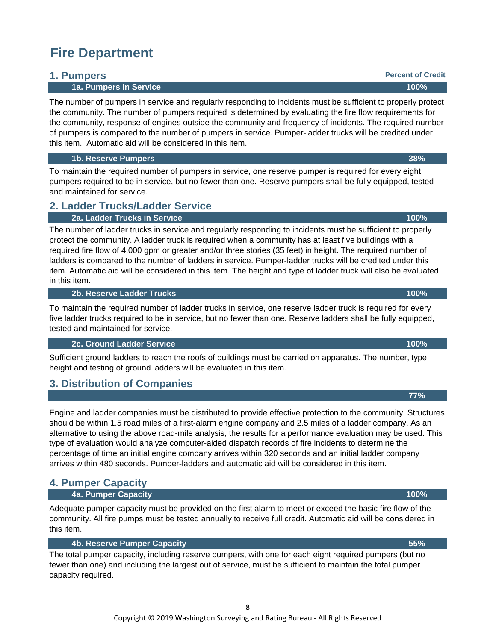# **Fire Department**

## **1. Pumpers**

#### **1a. Pumpers in Service 100%**

The number of pumpers in service and regularly responding to incidents must be sufficient to properly protect the community. The number of pumpers required is determined by evaluating the fire flow requirements for the community, response of engines outside the community and frequency of incidents. The required number of pumpers is compared to the number of pumpers in service. Pumper-ladder trucks will be credited under this item. Automatic aid will be considered in this item.

 **1b. Reserve Pumpers 38%**

To maintain the required number of pumpers in service, one reserve pumper is required for every eight pumpers required to be in service, but no fewer than one. Reserve pumpers shall be fully equipped, tested and maintained for service.

# **2. Ladder Trucks/Ladder Service**

#### **2a. Ladder Trucks in Service 100%**

The number of ladder trucks in service and regularly responding to incidents must be sufficient to properly protect the community. A ladder truck is required when a community has at least five buildings with a required fire flow of 4,000 gpm or greater and/or three stories (35 feet) in height. The required number of ladders is compared to the number of ladders in service. Pumper-ladder trucks will be credited under this item. Automatic aid will be considered in this item. The height and type of ladder truck will also be evaluated in this item.

#### **2b. Reserve Ladder Trucks 100%**

To maintain the required number of ladder trucks in service, one reserve ladder truck is required for every five ladder trucks required to be in service, but no fewer than one. Reserve ladders shall be fully equipped, tested and maintained for service.

#### **2c. Ground Ladder Service 100%**

Sufficient ground ladders to reach the roofs of buildings must be carried on apparatus. The number, type, height and testing of ground ladders will be evaluated in this item.

# **3. Distribution of Companies**

Engine and ladder companies must be distributed to provide effective protection to the community. Structures should be within 1.5 road miles of a first-alarm engine company and 2.5 miles of a ladder company. As an alternative to using the above road-mile analysis, the results for a performance evaluation may be used. This type of evaluation would analyze computer-aided dispatch records of fire incidents to determine the percentage of time an initial engine company arrives within 320 seconds and an initial ladder company arrives within 480 seconds. Pumper-ladders and automatic aid will be considered in this item.

# **4. Pumper Capacity**

#### **4a. Pumper Capacity 100%**

Adequate pumper capacity must be provided on the first alarm to meet or exceed the basic fire flow of the community. All fire pumps must be tested annually to receive full credit. Automatic aid will be considered in this item.

#### **4b. Reserve Pumper Capacity 55%**

The total pumper capacity, including reserve pumpers, with one for each eight required pumpers (but no fewer than one) and including the largest out of service, must be sufficient to maintain the total pumper capacity required.

**Percent of Credit**

#### **77%**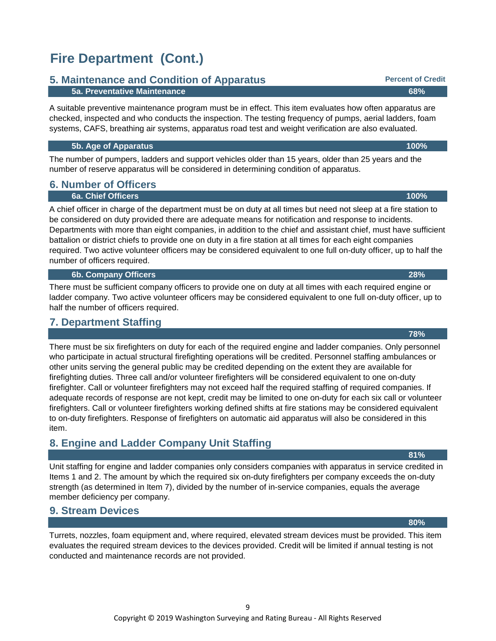# **Fire Department (Cont.)**

## **5. Maintenance and Condition of Apparatus**

#### **5a. Preventative Maintenance 68%**

A suitable preventive maintenance program must be in effect. This item evaluates how often apparatus are checked, inspected and who conducts the inspection. The testing frequency of pumps, aerial ladders, foam systems, CAFS, breathing air systems, apparatus road test and weight verification are also evaluated.

#### **5b. Age of Apparatus 100%**

The number of pumpers, ladders and support vehicles older than 15 years, older than 25 years and the number of reserve apparatus will be considered in determining condition of apparatus.

# **6. Number of Officers**

## **6a. Chief Officers 100%**

A chief officer in charge of the department must be on duty at all times but need not sleep at a fire station to be considered on duty provided there are adequate means for notification and response to incidents. Departments with more than eight companies, in addition to the chief and assistant chief, must have sufficient battalion or district chiefs to provide one on duty in a fire station at all times for each eight companies required. Two active volunteer officers may be considered equivalent to one full on-duty officer, up to half the number of officers required.

#### **6b. Company Officers 28%**

There must be sufficient company officers to provide one on duty at all times with each required engine or ladder company. Two active volunteer officers may be considered equivalent to one full on-duty officer, up to half the number of officers required.

## **7. Department Staffing**

There must be six firefighters on duty for each of the required engine and ladder companies. Only personnel who participate in actual structural firefighting operations will be credited. Personnel staffing ambulances or other units serving the general public may be credited depending on the extent they are available for firefighting duties. Three call and/or volunteer firefighters will be considered equivalent to one on-duty firefighter. Call or volunteer firefighters may not exceed half the required staffing of required companies. If adequate records of response are not kept, credit may be limited to one on-duty for each six call or volunteer firefighters. Call or volunteer firefighters working defined shifts at fire stations may be considered equivalent to on-duty firefighters. Response of firefighters on automatic aid apparatus will also be considered in this item.

# **8. Engine and Ladder Company Unit Staffing**

Unit staffing for engine and ladder companies only considers companies with apparatus in service credited in Items 1 and 2. The amount by which the required six on-duty firefighters per company exceeds the on-duty strength (as determined in Item 7), divided by the number of in-service companies, equals the average member deficiency per company.

### **9. Stream Devices**

Turrets, nozzles, foam equipment and, where required, elevated stream devices must be provided. This item evaluates the required stream devices to the devices provided. Credit will be limited if annual testing is not conducted and maintenance records are not provided.

**81%**

**80%**

**78%**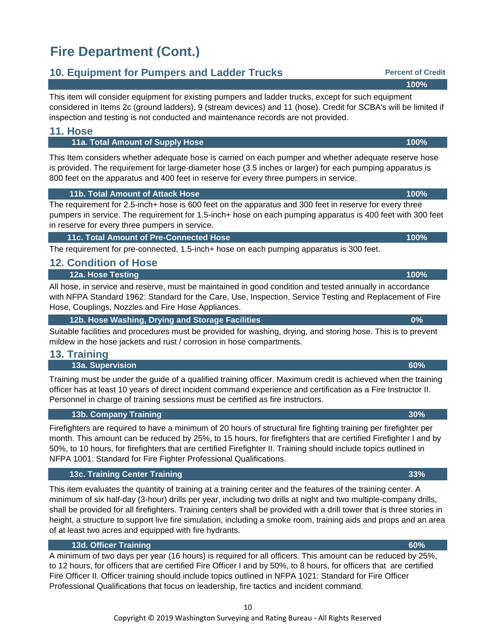# **Fire Department (Cont.)**

# **10. Equipment for Pumpers and Ladder Trucks**

This item will consider equipment for existing pumpers and ladder trucks, except for such equipment considered in Items 2c (ground ladders), 9 (stream devices) and 11 (hose). Credit for SCBA's will be limited if inspection and testing is not conducted and maintenance records are not provided.

#### **11. Hose**

#### **11a. Total Amount of Supply Hose 100%**

This Item considers whether adequate hose is carried on each pumper and whether adequate reserve hose is provided. The requirement for large-diameter hose (3.5 inches or larger) for each pumping apparatus is 800 feet on the apparatus and 400 feet in reserve for every three pumpers in service.

#### **11b. Total Amount of Attack Hose 100%**

The requirement for 2.5-inch+ hose is 600 feet on the apparatus and 300 feet in reserve for every three pumpers in service. The requirement for 1.5-inch+ hose on each pumping apparatus is 400 feet with 300 feet in reserve for every three pumpers in service.

#### **11c. Total Amount of Pre-Connected Hose 100%**

The requirement for pre-connected, 1.5-inch+ hose on each pumping apparatus is 300 feet.

## **12. Condition of Hose**

#### **12a. Hose Testing 100%**

All hose, in service and reserve, must be maintained in good condition and tested annually in accordance with NFPA Standard 1962: Standard for the Care, Use, Inspection, Service Testing and Replacement of Fire Hose, Couplings, Nozzles and Fire Hose Appliances.

#### **12b. Hose Washing, Drying and Storage Facilities 0%**

Suitable facilities and procedures must be provided for washing, drying, and storing hose. This is to prevent mildew in the hose jackets and rust / corrosion in hose compartments.

### **13. Training**

#### **13a. Supervision 60%**

Training must be under the guide of a qualified training officer. Maximum credit is achieved when the training officer has at least 10 years of direct incident command experience and certification as a Fire Instructor II. Personnel in charge of training sessions must be certified as fire instructors.

#### **13b. Company Training 30%**

Firefighters are required to have a minimum of 20 hours of structural fire fighting training per firefighter per month. This amount can be reduced by 25%, to 15 hours, for firefighters that are certified Firefighter I and by 50%, to 10 hours, for firefighters that are certified Firefighter II. Training should include topics outlined in NFPA 1001: Standard for Fire Fighter Professional Qualifications.

#### **13c. Training Center Training 33%**

This item evaluates the quantity of training at a training center and the features of the training center. A minimum of six half-day (3-hour) drills per year, including two drills at night and two multiple-company drills, shall be provided for all firefighters. Training centers shall be provided with a drill tower that is three stories in height, a structure to support live fire simulation, including a smoke room, training aids and props and an area of at least two acres and equipped with fire hydrants.

#### **13d. Officer Training 60%**

A minimum of two days per year (16 hours) is required for all officers. This amount can be reduced by 25%, to 12 hours, for officers that are certified Fire Officer I and by 50%, to 8 hours, for officers that are certified Fire Officer II. Officer training should include topics outlined in NFPA 1021: Standard for Fire Officer Professional Qualifications that focus on leadership, fire tactics and incident command.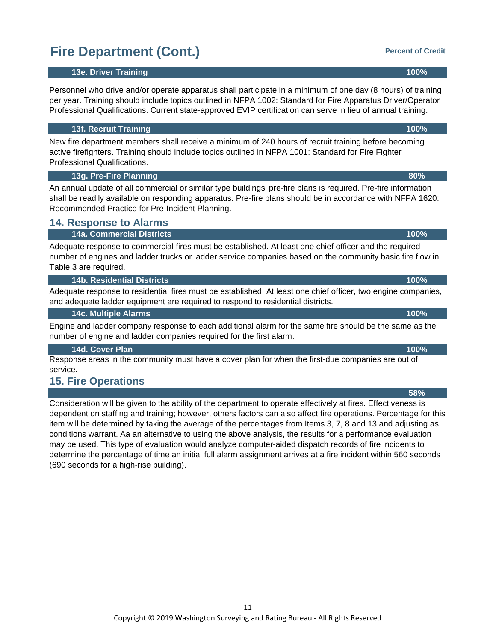# **Fire Department (Cont.)**

#### **13e. Driver Training 100%**

Personnel who drive and/or operate apparatus shall participate in a minimum of one day (8 hours) of training per year. Training should include topics outlined in NFPA 1002: Standard for Fire Apparatus Driver/Operator Professional Qualifications. Current state-approved EVIP certification can serve in lieu of annual training.

#### **13f. Recruit Training 100%**

New fire department members shall receive a minimum of 240 hours of recruit training before becoming active firefighters. Training should include topics outlined in NFPA 1001: Standard for Fire Fighter Professional Qualifications.

#### **13g. Pre-Fire Planning 80%**

An annual update of all commercial or similar type buildings' pre-fire plans is required. Pre-fire information shall be readily available on responding apparatus. Pre-fire plans should be in accordance with NFPA 1620: Recommended Practice for Pre-Incident Planning.

### **14. Response to Alarms**

#### **14a. Commercial Districts 100%**

Adequate response to commercial fires must be established. At least one chief officer and the required number of engines and ladder trucks or ladder service companies based on the community basic fire flow in Table 3 are required.

#### **14b. Residential Districts 100%**

Adequate response to residential fires must be established. At least one chief officer, two engine companies, and adequate ladder equipment are required to respond to residential districts.

 **14c. Multiple Alarms 100%**

Engine and ladder company response to each additional alarm for the same fire should be the same as the number of engine and ladder companies required for the first alarm.

#### **14d. Cover Plan 100%**

Response areas in the community must have a cover plan for when the first-due companies are out of service.

# **15. Fire Operations**

Consideration will be given to the ability of the department to operate effectively at fires. Effectiveness is dependent on staffing and training; however, others factors can also affect fire operations. Percentage for this item will be determined by taking the average of the percentages from Items 3, 7, 8 and 13 and adjusting as conditions warrant. Aa an alternative to using the above analysis, the results for a performance evaluation may be used. This type of evaluation would analyze computer-aided dispatch records of fire incidents to determine the percentage of time an initial full alarm assignment arrives at a fire incident within 560 seconds (690 seconds for a high-rise building).

**58%**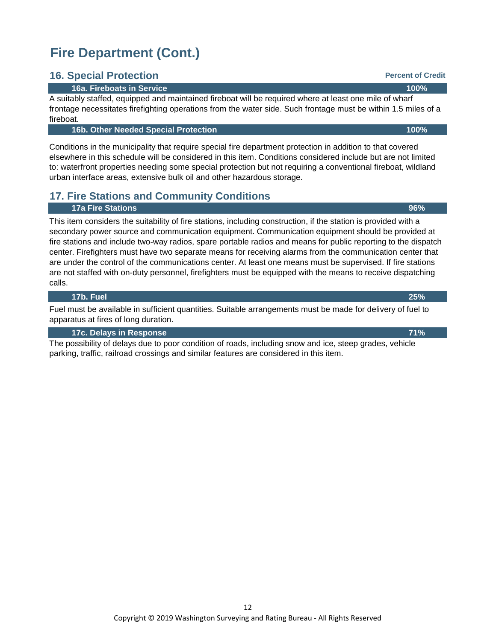# **Fire Department (Cont.)**

## **16. Special Protection**

#### **16a. Fireboats in Service 100%**

A suitably staffed, equipped and maintained fireboat will be required where at least one mile of wharf frontage necessitates firefighting operations from the water side. Such frontage must be within 1.5 miles of a fireboat.

#### **16b. Other Needed Special Protection 100%**

Conditions in the municipality that require special fire department protection in addition to that covered elsewhere in this schedule will be considered in this item. Conditions considered include but are not limited to: waterfront properties needing some special protection but not requiring a conventional fireboat, wildland urban interface areas, extensive bulk oil and other hazardous storage.

# **17. Fire Stations and Community Conditions**

#### **17a Fire Stations 96%**

This item considers the suitability of fire stations, including construction, if the station is provided with a secondary power source and communication equipment. Communication equipment should be provided at fire stations and include two-way radios, spare portable radios and means for public reporting to the dispatch center. Firefighters must have two separate means for receiving alarms from the communication center that are under the control of the communications center. At least one means must be supervised. If fire stations are not staffed with on-duty personnel, firefighters must be equipped with the means to receive dispatching calls.

#### **17b. Fuel 25%**

Fuel must be available in sufficient quantities. Suitable arrangements must be made for delivery of fuel to apparatus at fires of long duration.

#### **17c. Delays in Response 71%**

The possibility of delays due to poor condition of roads, including snow and ice, steep grades, vehicle parking, traffic, railroad crossings and similar features are considered in this item.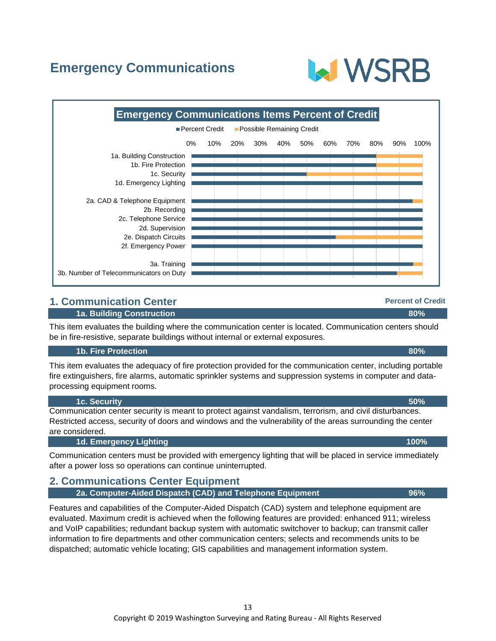# **Emergency Communications**



## **1. Communication Center**

#### **1a. Building Construction 80%**

This item evaluates the building where the communication center is located. Communication centers should be in fire-resistive, separate buildings without internal or external exposures.

#### **1b. Fire Protection 80%**

This item evaluates the adequacy of fire protection provided for the communication center, including portable fire extinguishers, fire alarms, automatic sprinkler systems and suppression systems in computer and dataprocessing equipment rooms.

 **1c. Security 50%**

Communication center security is meant to protect against vandalism, terrorism, and civil disturbances. Restricted access, security of doors and windows and the vulnerability of the areas surrounding the center are considered.

#### **1d. Emergency Lighting 100%**

Communication centers must be provided with emergency lighting that will be placed in service immediately after a power loss so operations can continue uninterrupted.

| 2. Communications Center Equipment                        |     |
|-----------------------------------------------------------|-----|
| 2a. Computer-Aided Dispatch (CAD) and Telephone Equipment | 96% |

Features and capabilities of the Computer-Aided Dispatch (CAD) system and telephone equipment are evaluated. Maximum credit is achieved when the following features are provided: enhanced 911; wireless and VoIP capabilities; redundant backup system with automatic switchover to backup; can transmit caller information to fire departments and other communication centers; selects and recommends units to be dispatched; automatic vehicle locating; GIS capabilities and management information system.

**Percent of Credit**

**MWSRB**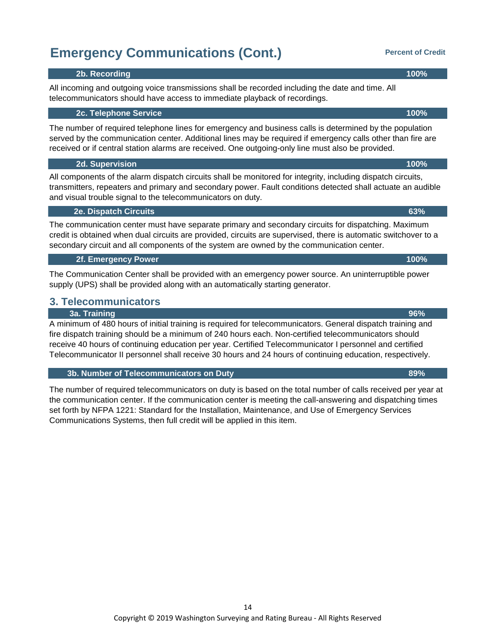### All incoming and outgoing voice transmissions shall be recorded including the date and time. All telecommunicators should have access to immediate playback of recordings.

#### **2c. Telephone Service 100%**

The number of required telephone lines for emergency and business calls is determined by the population served by the communication center. Additional lines may be required if emergency calls other than fire are received or if central station alarms are received. One outgoing-only line must also be provided.

#### **2d. Supervision 100%**

All components of the alarm dispatch circuits shall be monitored for integrity, including dispatch circuits, transmitters, repeaters and primary and secondary power. Fault conditions detected shall actuate an audible and visual trouble signal to the telecommunicators on duty.

#### **2e. Dispatch Circuits 63%**

#### The communication center must have separate primary and secondary circuits for dispatching. Maximum credit is obtained when dual circuits are provided, circuits are supervised, there is automatic switchover to a secondary circuit and all components of the system are owned by the communication center.

#### **2f. Emergency Power 100%**

The Communication Center shall be provided with an emergency power source. An uninterruptible power supply (UPS) shall be provided along with an automatically starting generator.

## **3. Telecommunicators**

#### **3a. Training 96%**

A minimum of 480 hours of initial training is required for telecommunicators. General dispatch training and fire dispatch training should be a minimum of 240 hours each. Non-certified telecommunicators should receive 40 hours of continuing education per year. Certified Telecommunicator I personnel and certified Telecommunicator II personnel shall receive 30 hours and 24 hours of continuing education, respectively.

#### **3b. Number of Telecommunicators on Duty 89%**

The number of required telecommunicators on duty is based on the total number of calls received per year at the communication center. If the communication center is meeting the call-answering and dispatching times set forth by NFPA 1221: Standard for the Installation, Maintenance, and Use of Emergency Services Communications Systems, then full credit will be applied in this item.

# **Emergency Communications (Cont.)**

 **2b. Recording 100%**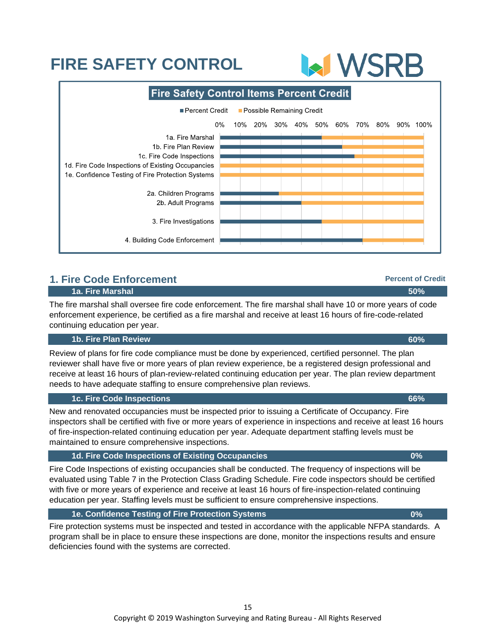## **1. Fire Code Enforcement 1a. Fire Marshal 50%**

The fire marshal shall oversee fire code enforcement. The fire marshal shall have 10 or more years of code enforcement experience, be certified as a fire marshal and receive at least 16 hours of fire-code-related continuing education per year.

### **1b. Fire Plan Review 60%**

Review of plans for fire code compliance must be done by experienced, certified personnel. The plan reviewer shall have five or more years of plan review experience, be a registered design professional and receive at least 16 hours of plan-review-related continuing education per year. The plan review department needs to have adequate staffing to ensure comprehensive plan reviews.

### **1c. Fire Code Inspections 66%**

New and renovated occupancies must be inspected prior to issuing a Certificate of Occupancy. Fire inspectors shall be certified with five or more years of experience in inspections and receive at least 16 hours of fire-inspection-related continuing education per year. Adequate department staffing levels must be maintained to ensure comprehensive inspections.

### **1d. Fire Code Inspections of Existing Occupancies 0%**

Fire Code Inspections of existing occupancies shall be conducted. The frequency of inspections will be evaluated using Table 7 in the Protection Class Grading Schedule. Fire code inspectors should be certified with five or more years of experience and receive at least 16 hours of fire-inspection-related continuing education per year. Staffing levels must be sufficient to ensure comprehensive inspections.

### **1e. Confidence Testing of Fire Protection Systems 0%**

Fire protection systems must be inspected and tested in accordance with the applicable NFPA standards. A program shall be in place to ensure these inspections are done, monitor the inspections results and ensure deficiencies found with the systems are corrected.

# **FIRE SAFETY CONTROL**

**Fire Safety Control Items Percent Credit** Percent Credit Possible Remaining Credit  $0%$ 10% 20% 30% 40% 50% 60% 70% 80% 90% 100% 1a. Fire Marshal 1b. Fire Plan Review 1c. Fire Code Inspections 1d. Fire Code Inspections of Existing Occupancies 1e. Confidence Testing of Fire Protection Systems 2a. Children Programs 2b. Adult Programs 3. Fire Investigations 4. Building Code Enforcement



**Percent of Credit**

**MWSRB**